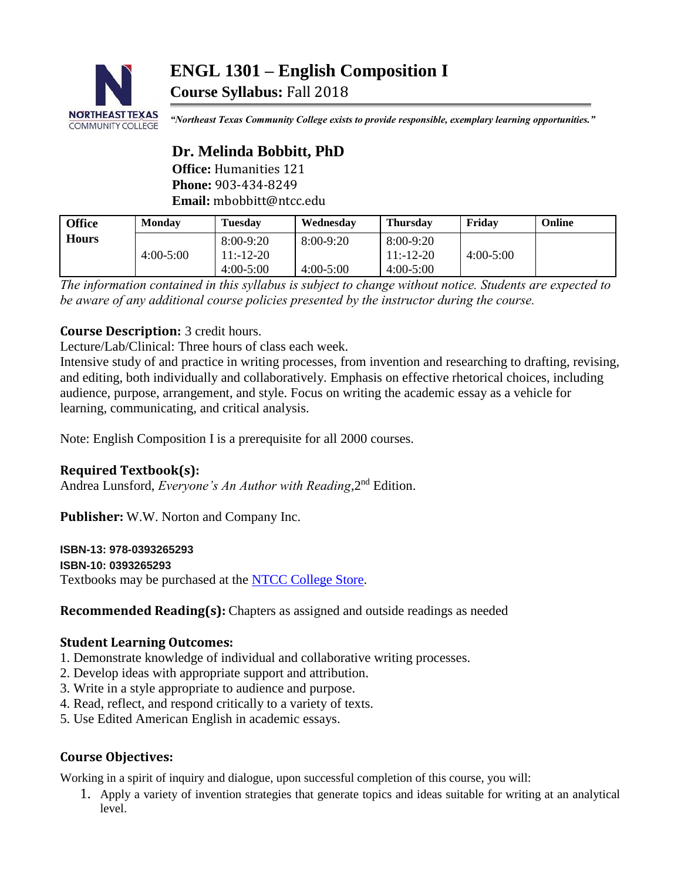

*"Northeast Texas Community College exists to provide responsible, exemplary learning opportunities."*

# **Dr. Melinda Bobbitt, PhD Office:** Humanities 121

**Phone:** 903-434-8249 **Email:** mbobbitt@ntcc.edu

| <b>Office</b> | <b>Monday</b> | <b>Tuesday</b>           | Wednesday   | <b>Thursday</b>           | Fridav      | Online |
|---------------|---------------|--------------------------|-------------|---------------------------|-------------|--------|
| <b>Hours</b>  | 4:00-5:00     | $8:00-9:20$<br>11:-12-20 | 8:00-9:20   | 8:00-9:20<br>$11: -12-20$ | $4:00-5:00$ |        |
|               |               | $4:00-5:00$              | $4:00-5:00$ | $4:00-5:00$               |             |        |

*The information contained in this syllabus is subject to change without notice. Students are expected to be aware of any additional course policies presented by the instructor during the course.*

# **Course Description:** 3 credit hours.

Lecture/Lab/Clinical: Three hours of class each week.

Intensive study of and practice in writing processes, from invention and researching to drafting, revising, and editing, both individually and collaboratively. Emphasis on effective rhetorical choices, including audience, purpose, arrangement, and style. Focus on writing the academic essay as a vehicle for learning, communicating, and critical analysis.

Note: English Composition I is a prerequisite for all 2000 courses.

# **Required Textbook(s):**

Andrea Lunsford, *Everyone's An Author with Reading*, 2<sup>nd</sup> Edition.

**Publisher:** W.W. Norton and Company Inc.

## **ISBN-13: 978-0393265293**

**ISBN-10: 0393265293**

Textbooks may be purchased at the [NTCC College Store.](http://www.ntccbookstore.com/)

**Recommended Reading(s):** Chapters as assigned and outside readings as needed

## **Student Learning Outcomes:**

- 1. Demonstrate knowledge of individual and collaborative writing processes.
- 2. Develop ideas with appropriate support and attribution.
- 3. Write in a style appropriate to audience and purpose.
- 4. Read, reflect, and respond critically to a variety of texts.
- 5. Use Edited American English in academic essays.

# **Course Objectives:**

Working in a spirit of inquiry and dialogue, upon successful completion of this course, you will:

1. Apply a variety of invention strategies that generate topics and ideas suitable for writing at an analytical level.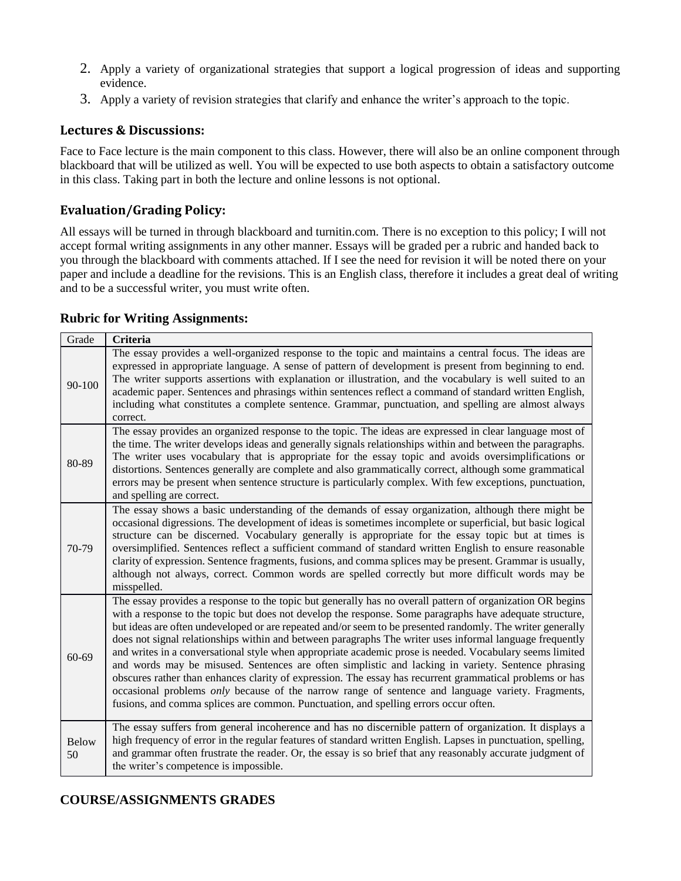- 2. Apply a variety of organizational strategies that support a logical progression of ideas and supporting evidence.
- 3. Apply a variety of revision strategies that clarify and enhance the writer's approach to the topic.

## **Lectures & Discussions:**

Face to Face lecture is the main component to this class. However, there will also be an online component through blackboard that will be utilized as well. You will be expected to use both aspects to obtain a satisfactory outcome in this class. Taking part in both the lecture and online lessons is not optional.

## **Evaluation/Grading Policy:**

All essays will be turned in through blackboard and turnitin.com. There is no exception to this policy; I will not accept formal writing assignments in any other manner. Essays will be graded per a rubric and handed back to you through the blackboard with comments attached. If I see the need for revision it will be noted there on your paper and include a deadline for the revisions. This is an English class, therefore it includes a great deal of writing and to be a successful writer, you must write often.

| Grade              | <b>Criteria</b>                                                                                                                                                                                                                                                                                                                                                                                                                                                                                                                                                                                                                                                                                                                                                                                                                                                                                                                                                            |
|--------------------|----------------------------------------------------------------------------------------------------------------------------------------------------------------------------------------------------------------------------------------------------------------------------------------------------------------------------------------------------------------------------------------------------------------------------------------------------------------------------------------------------------------------------------------------------------------------------------------------------------------------------------------------------------------------------------------------------------------------------------------------------------------------------------------------------------------------------------------------------------------------------------------------------------------------------------------------------------------------------|
| 90-100             | The essay provides a well-organized response to the topic and maintains a central focus. The ideas are<br>expressed in appropriate language. A sense of pattern of development is present from beginning to end.<br>The writer supports assertions with explanation or illustration, and the vocabulary is well suited to an<br>academic paper. Sentences and phrasings within sentences reflect a command of standard written English,<br>including what constitutes a complete sentence. Grammar, punctuation, and spelling are almost always<br>correct.                                                                                                                                                                                                                                                                                                                                                                                                                |
| 80-89              | The essay provides an organized response to the topic. The ideas are expressed in clear language most of<br>the time. The writer develops ideas and generally signals relationships within and between the paragraphs.<br>The writer uses vocabulary that is appropriate for the essay topic and avoids oversimplifications or<br>distortions. Sentences generally are complete and also grammatically correct, although some grammatical<br>errors may be present when sentence structure is particularly complex. With few exceptions, punctuation,<br>and spelling are correct.                                                                                                                                                                                                                                                                                                                                                                                         |
| 70-79              | The essay shows a basic understanding of the demands of essay organization, although there might be<br>occasional digressions. The development of ideas is sometimes incomplete or superficial, but basic logical<br>structure can be discerned. Vocabulary generally is appropriate for the essay topic but at times is<br>oversimplified. Sentences reflect a sufficient command of standard written English to ensure reasonable<br>clarity of expression. Sentence fragments, fusions, and comma splices may be present. Grammar is usually,<br>although not always, correct. Common words are spelled correctly but more difficult words may be<br>misspelled.                                                                                                                                                                                                                                                                                                        |
| 60-69              | The essay provides a response to the topic but generally has no overall pattern of organization OR begins<br>with a response to the topic but does not develop the response. Some paragraphs have adequate structure,<br>but ideas are often undeveloped or are repeated and/or seem to be presented randomly. The writer generally<br>does not signal relationships within and between paragraphs The writer uses informal language frequently<br>and writes in a conversational style when appropriate academic prose is needed. Vocabulary seems limited<br>and words may be misused. Sentences are often simplistic and lacking in variety. Sentence phrasing<br>obscures rather than enhances clarity of expression. The essay has recurrent grammatical problems or has<br>occasional problems only because of the narrow range of sentence and language variety. Fragments,<br>fusions, and comma splices are common. Punctuation, and spelling errors occur often. |
| <b>Below</b><br>50 | The essay suffers from general incoherence and has no discernible pattern of organization. It displays a<br>high frequency of error in the regular features of standard written English. Lapses in punctuation, spelling,<br>and grammar often frustrate the reader. Or, the essay is so brief that any reasonably accurate judgment of<br>the writer's competence is impossible.                                                                                                                                                                                                                                                                                                                                                                                                                                                                                                                                                                                          |

#### **Rubric for Writing Assignments:**

## **COURSE/ASSIGNMENTS GRADES**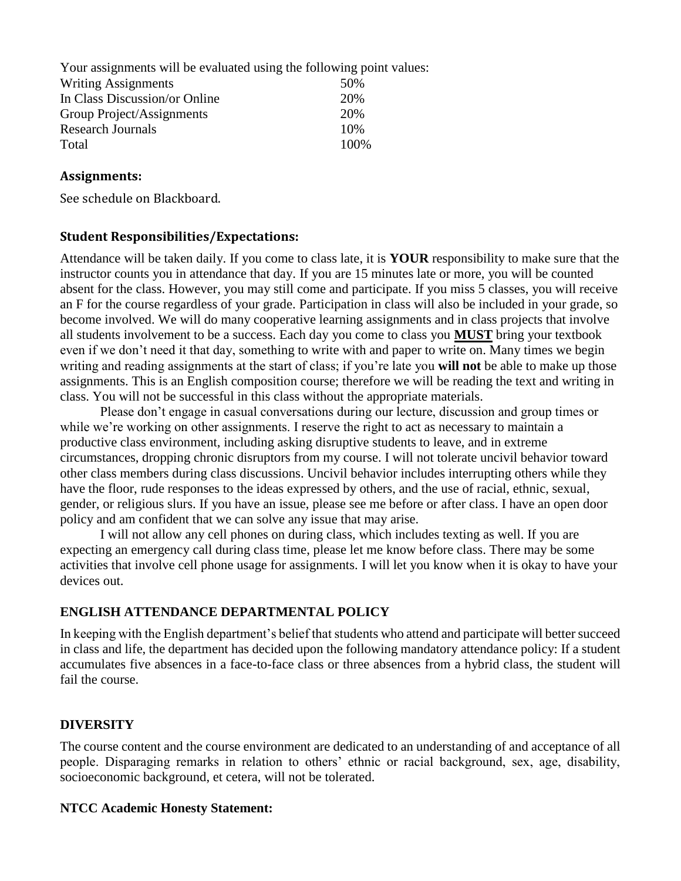| Your assignments will be evaluated using the following point values: |       |
|----------------------------------------------------------------------|-------|
| <b>Writing Assignments</b>                                           | 50%   |
| In Class Discussion/or Online                                        | 20%   |
| Group Project/Assignments                                            | 20%   |
| <b>Research Journals</b>                                             | 10%   |
| Total                                                                | 100\% |

## **Assignments:**

See schedule on Blackboard.

### **Student Responsibilities/Expectations:**

Attendance will be taken daily. If you come to class late, it is **YOUR** responsibility to make sure that the instructor counts you in attendance that day. If you are 15 minutes late or more, you will be counted absent for the class. However, you may still come and participate. If you miss 5 classes, you will receive an F for the course regardless of your grade. Participation in class will also be included in your grade, so become involved. We will do many cooperative learning assignments and in class projects that involve all students involvement to be a success. Each day you come to class you **MUST** bring your textbook even if we don't need it that day, something to write with and paper to write on. Many times we begin writing and reading assignments at the start of class; if you're late you **will not** be able to make up those assignments. This is an English composition course; therefore we will be reading the text and writing in class. You will not be successful in this class without the appropriate materials.

Please don't engage in casual conversations during our lecture, discussion and group times or while we're working on other assignments. I reserve the right to act as necessary to maintain a productive class environment, including asking disruptive students to leave, and in extreme circumstances, dropping chronic disruptors from my course. I will not tolerate uncivil behavior toward other class members during class discussions. Uncivil behavior includes interrupting others while they have the floor, rude responses to the ideas expressed by others, and the use of racial, ethnic, sexual, gender, or religious slurs. If you have an issue, please see me before or after class. I have an open door policy and am confident that we can solve any issue that may arise.

I will not allow any cell phones on during class, which includes texting as well. If you are expecting an emergency call during class time, please let me know before class. There may be some activities that involve cell phone usage for assignments. I will let you know when it is okay to have your devices out.

### **ENGLISH ATTENDANCE DEPARTMENTAL POLICY**

In keeping with the English department's belief that students who attend and participate will better succeed in class and life, the department has decided upon the following mandatory attendance policy: If a student accumulates five absences in a face-to-face class or three absences from a hybrid class, the student will fail the course.

## **DIVERSITY**

The course content and the course environment are dedicated to an understanding of and acceptance of all people. Disparaging remarks in relation to others' ethnic or racial background, sex, age, disability, socioeconomic background, et cetera, will not be tolerated.

### **NTCC Academic Honesty Statement:**